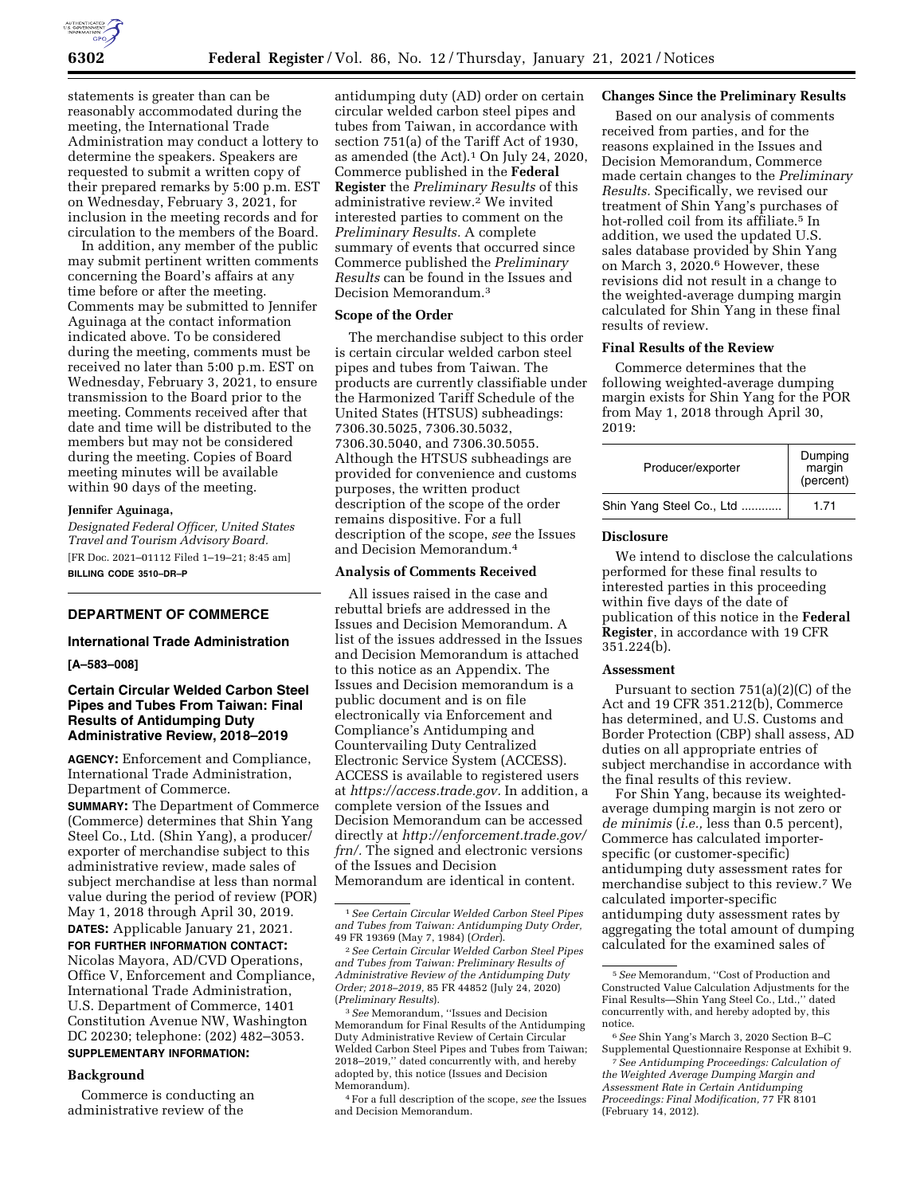

statements is greater than can be reasonably accommodated during the meeting, the International Trade Administration may conduct a lottery to determine the speakers. Speakers are requested to submit a written copy of their prepared remarks by 5:00 p.m. EST on Wednesday, February 3, 2021, for inclusion in the meeting records and for circulation to the members of the Board.

In addition, any member of the public may submit pertinent written comments concerning the Board's affairs at any time before or after the meeting. Comments may be submitted to Jennifer Aguinaga at the contact information indicated above. To be considered during the meeting, comments must be received no later than 5:00 p.m. EST on Wednesday, February 3, 2021, to ensure transmission to the Board prior to the meeting. Comments received after that date and time will be distributed to the members but may not be considered during the meeting. Copies of Board meeting minutes will be available within 90 days of the meeting.

#### **Jennifer Aguinaga,**

*Designated Federal Officer, United States Travel and Tourism Advisory Board.*  [FR Doc. 2021–01112 Filed 1–19–21; 8:45 am] **BILLING CODE 3510–DR–P** 

# **DEPARTMENT OF COMMERCE**

# **International Trade Administration**

### **[A–583–008]**

# **Certain Circular Welded Carbon Steel Pipes and Tubes From Taiwan: Final Results of Antidumping Duty Administrative Review, 2018–2019**

**AGENCY:** Enforcement and Compliance, International Trade Administration, Department of Commerce.

**SUMMARY:** The Department of Commerce (Commerce) determines that Shin Yang Steel Co., Ltd. (Shin Yang), a producer/ exporter of merchandise subject to this administrative review, made sales of subject merchandise at less than normal value during the period of review (POR) May 1, 2018 through April 30, 2019. **DATES:** Applicable January 21, 2021. **FOR FURTHER INFORMATION CONTACT:**  Nicolas Mayora, AD/CVD Operations, Office V, Enforcement and Compliance,

International Trade Administration, U.S. Department of Commerce, 1401 Constitution Avenue NW, Washington DC 20230; telephone: (202) 482–3053.

# **SUPPLEMENTARY INFORMATION:**

# **Background**

Commerce is conducting an administrative review of the

antidumping duty (AD) order on certain circular welded carbon steel pipes and tubes from Taiwan, in accordance with section 751(a) of the Tariff Act of 1930, as amended (the Act).1 On July 24, 2020, Commerce published in the **Federal Register** the *Preliminary Results* of this administrative review.2 We invited interested parties to comment on the *Preliminary Results.* A complete summary of events that occurred since Commerce published the *Preliminary Results* can be found in the Issues and Decision Memorandum.3

# **Scope of the Order**

The merchandise subject to this order is certain circular welded carbon steel pipes and tubes from Taiwan. The products are currently classifiable under the Harmonized Tariff Schedule of the United States (HTSUS) subheadings: 7306.30.5025, 7306.30.5032, 7306.30.5040, and 7306.30.5055. Although the HTSUS subheadings are provided for convenience and customs purposes, the written product description of the scope of the order remains dispositive. For a full description of the scope, *see* the Issues and Decision Memorandum.4

#### **Analysis of Comments Received**

All issues raised in the case and rebuttal briefs are addressed in the Issues and Decision Memorandum. A list of the issues addressed in the Issues and Decision Memorandum is attached to this notice as an Appendix. The Issues and Decision memorandum is a public document and is on file electronically via Enforcement and Compliance's Antidumping and Countervailing Duty Centralized Electronic Service System (ACCESS). ACCESS is available to registered users at *[https://access.trade.gov.](https://access.trade.gov)* In addition, a complete version of the Issues and Decision Memorandum can be accessed directly at *[http://enforcement.trade.gov/](http://enforcement.trade.gov/frn/)  [frn/.](http://enforcement.trade.gov/frn/)* The signed and electronic versions of the Issues and Decision Memorandum are identical in content.

3*See* Memorandum, ''Issues and Decision Memorandum for Final Results of the Antidumping Duty Administrative Review of Certain Circular Welded Carbon Steel Pipes and Tubes from Taiwan; 2018–2019,'' dated concurrently with, and hereby adopted by, this notice (Issues and Decision Memorandum).

### **Changes Since the Preliminary Results**

Based on our analysis of comments received from parties, and for the reasons explained in the Issues and Decision Memorandum, Commerce made certain changes to the *Preliminary Results.* Specifically, we revised our treatment of Shin Yang's purchases of hot-rolled coil from its affiliate.<sup>5</sup> In addition, we used the updated U.S. sales database provided by Shin Yang on March 3, 2020.6 However, these revisions did not result in a change to the weighted-average dumping margin calculated for Shin Yang in these final results of review.

# **Final Results of the Review**

Commerce determines that the following weighted-average dumping margin exists for Shin Yang for the POR from May 1, 2018 through April 30, 2019:

| Producer/exporter        | Dumping<br>margin<br>(percent) |
|--------------------------|--------------------------------|
| Shin Yang Steel Co., Ltd | 1.71                           |

#### **Disclosure**

We intend to disclose the calculations performed for these final results to interested parties in this proceeding within five days of the date of publication of this notice in the **Federal Register**, in accordance with 19 CFR 351.224(b).

# **Assessment**

Pursuant to section 751(a)(2)(C) of the Act and 19 CFR 351.212(b), Commerce has determined, and U.S. Customs and Border Protection (CBP) shall assess, AD duties on all appropriate entries of subject merchandise in accordance with the final results of this review.

For Shin Yang, because its weightedaverage dumping margin is not zero or *de minimis* (*i.e.,* less than 0.5 percent), Commerce has calculated importerspecific (or customer-specific) antidumping duty assessment rates for merchandise subject to this review.7 We calculated importer-specific antidumping duty assessment rates by aggregating the total amount of dumping calculated for the examined sales of

<sup>1</sup>*See Certain Circular Welded Carbon Steel Pipes and Tubes from Taiwan: Antidumping Duty Order,*  49 FR 19369 (May 7, 1984) (*Order*).

<sup>2</sup>*See Certain Circular Welded Carbon Steel Pipes and Tubes from Taiwan: Preliminary Results of Administrative Review of the Antidumping Duty Order; 2018–2019,* 85 FR 44852 (July 24, 2020) (*Preliminary Results*).

<sup>4</sup>For a full description of the scope, *see* the Issues and Decision Memorandum.

<sup>5</sup>*See* Memorandum, ''Cost of Production and Constructed Value Calculation Adjustments for the Final Results—Shin Yang Steel Co., Ltd.,'' dated concurrently with, and hereby adopted by, this notice.

<sup>6</sup>*See* Shin Yang's March 3, 2020 Section B–C Supplemental Questionnaire Response at Exhibit 9.

<sup>7</sup>*See Antidumping Proceedings: Calculation of the Weighted Average Dumping Margin and Assessment Rate in Certain Antidumping Proceedings: Final Modification,* 77 FR 8101 (February 14, 2012).